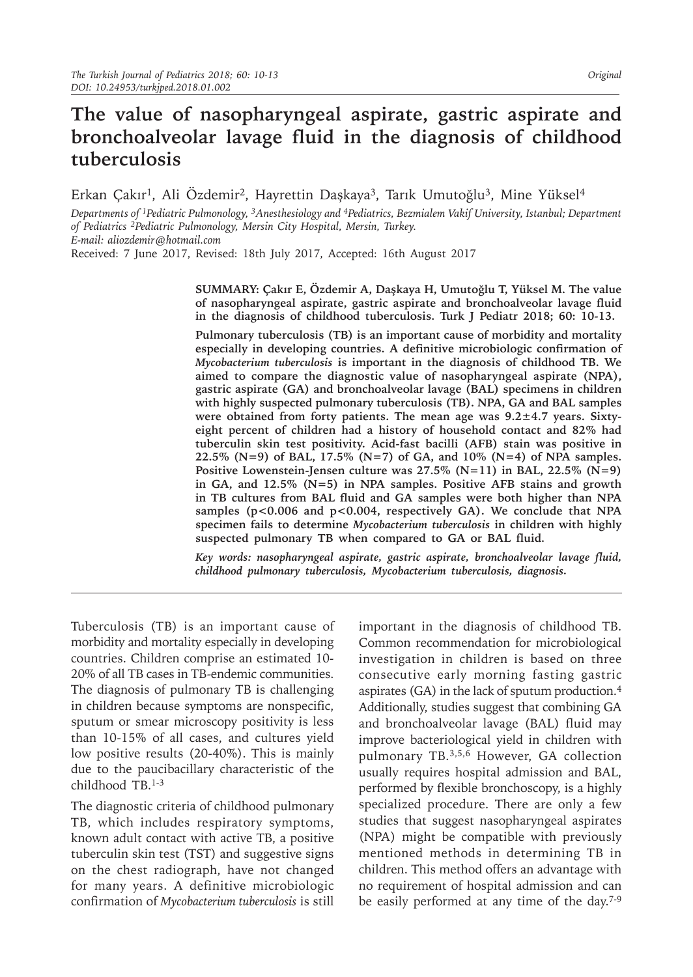# **The value of nasopharyngeal aspirate, gastric aspirate and bronchoalveolar lavage fluid in the diagnosis of childhood tuberculosis**

Erkan Çakır<sup>1</sup>, Ali Özdemir<sup>2</sup>, Hayrettin Daşkaya<sup>3</sup>, Tarık Umutoğlu<sup>3</sup>, Mine Yüksel<sup>4</sup>

*Departments of 1Pediatric Pulmonology, 3Anesthesiology and 4Pediatrics, Bezmialem Vakif University, Istanbul; Department of Pediatrics 2Pediatric Pulmonology, Mersin City Hospital, Mersin, Turkey. E-mail: aliozdemir@hotmail.com*

Received: 7 June 2017, Revised: 18th July 2017, Accepted: 16th August 2017

**SUMMARY: Çakır E, Özdemir A, Daşkaya H, Umutoğlu T, Yüksel M. The value of nasopharyngeal aspirate, gastric aspirate and bronchoalveolar lavage fluid in the diagnosis of childhood tuberculosis. Turk J Pediatr 2018; 60: 10-13.**

**Pulmonary tuberculosis (TB) is an important cause of morbidity and mortality especially in developing countries. A definitive microbiologic confirmation of**  *Mycobacterium tuberculosis* **is important in the diagnosis of childhood TB. We aimed to compare the diagnostic value of nasopharyngeal aspirate (NPA), gastric aspirate (GA) and bronchoalveolar lavage (BAL) specimens in children with highly suspected pulmonary tuberculosis (TB). NPA, GA and BAL samples were obtained from forty patients. The mean age was 9.2±4.7 years. Sixtyeight percent of children had a history of household contact and 82% had tuberculin skin test positivity. Acid-fast bacilli (AFB) stain was positive in 22.5% (N=9) of BAL, 17.5% (N=7) of GA, and 10% (N=4) of NPA samples. Positive Lowenstein-Jensen culture was 27.5% (N=11) in BAL, 22.5% (N=9) in GA, and 12.5% (N=5) in NPA samples. Positive AFB stains and growth in TB cultures from BAL fluid and GA samples were both higher than NPA**  samples (p<0.006 and p<0.004, respectively GA). We conclude that NPA **specimen fails to determine** *Mycobacterium tuberculosis* **in children with highly suspected pulmonary TB when compared to GA or BAL fluid.** 

*Key words: nasopharyngeal aspirate, gastric aspirate, bronchoalveolar lavage fluid, childhood pulmonary tuberculosis, Mycobacterium tuberculosis, diagnosis.*

Tuberculosis (TB) is an important cause of morbidity and mortality especially in developing countries. Children comprise an estimated 10- 20% of all TB cases in TB-endemic communities. The diagnosis of pulmonary TB is challenging in children because symptoms are nonspecific, sputum or smear microscopy positivity is less than 10-15% of all cases, and cultures yield low positive results (20-40%). This is mainly due to the paucibacillary characteristic of the childhood TB.1-3

The diagnostic criteria of childhood pulmonary TB, which includes respiratory symptoms, known adult contact with active TB, a positive tuberculin skin test (TST) and suggestive signs on the chest radiograph, have not changed for many years. A definitive microbiologic confirmation of *Mycobacterium tuberculosis* is still

important in the diagnosis of childhood TB. Common recommendation for microbiological investigation in children is based on three consecutive early morning fasting gastric aspirates (GA) in the lack of sputum production.<sup>4</sup> Additionally, studies suggest that combining GA and bronchoalveolar lavage (BAL) fluid may improve bacteriological yield in children with pulmonary TB.3,5,6 However, GA collection usually requires hospital admission and BAL, performed by flexible bronchoscopy, is a highly specialized procedure. There are only a few studies that suggest nasopharyngeal aspirates (NPA) might be compatible with previously mentioned methods in determining TB in children. This method offers an advantage with no requirement of hospital admission and can be easily performed at any time of the day.7-9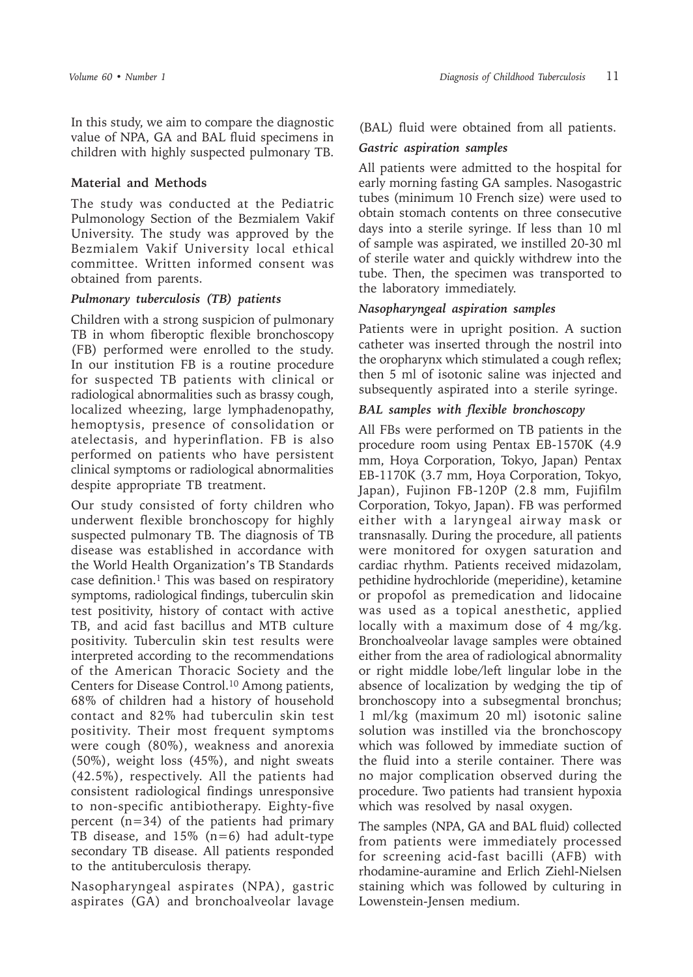In this study, we aim to compare the diagnostic value of NPA, GA and BAL fluid specimens in children with highly suspected pulmonary TB.

# **Material and Methods**

The study was conducted at the Pediatric Pulmonology Section of the Bezmialem Vakif University. The study was approved by the Bezmialem Vakif University local ethical committee. Written informed consent was obtained from parents.

# *Pulmonary tuberculosis (TB) patients*

Children with a strong suspicion of pulmonary TB in whom fiberoptic flexible bronchoscopy (FB) performed were enrolled to the study. In our institution FB is a routine procedure for suspected TB patients with clinical or radiological abnormalities such as brassy cough, localized wheezing, large lymphadenopathy, hemoptysis, presence of consolidation or atelectasis, and hyperinflation. FB is also performed on patients who have persistent clinical symptoms or radiological abnormalities despite appropriate TB treatment.

Our study consisted of forty children who underwent flexible bronchoscopy for highly suspected pulmonary TB. The diagnosis of TB disease was established in accordance with the World Health Organization's TB Standards case definition.<sup>1</sup> This was based on respiratory symptoms, radiological findings, tuberculin skin test positivity, history of contact with active TB, and acid fast bacillus and MTB culture positivity. Tuberculin skin test results were interpreted according to the recommendations of the American Thoracic Society and the Centers for Disease Control.10 Among patients, 68% of children had a history of household contact and 82% had tuberculin skin test positivity. Their most frequent symptoms were cough (80%), weakness and anorexia (50%), weight loss (45%), and night sweats (42.5%), respectively. All the patients had consistent radiological findings unresponsive to non-specific antibiotherapy. Eighty-five percent (n=34) of the patients had primary TB disease, and 15% (n=6) had adult-type secondary TB disease. All patients responded to the antituberculosis therapy.

Nasopharyngeal aspirates (NPA), gastric aspirates (GA) and bronchoalveolar lavage

(BAL) fluid were obtained from all patients.

#### *Gastric aspiration samples*

All patients were admitted to the hospital for early morning fasting GA samples. Nasogastric tubes (minimum 10 French size) were used to obtain stomach contents on three consecutive days into a sterile syringe. If less than 10 ml of sample was aspirated, we instilled 20-30 ml of sterile water and quickly withdrew into the tube. Then, the specimen was transported to the laboratory immediately.

# *Nasopharyngeal aspiration samples*

Patients were in upright position. A suction catheter was inserted through the nostril into the oropharynx which stimulated a cough reflex; then 5 ml of isotonic saline was injected and subsequently aspirated into a sterile syringe.

# *BAL samples with flexible bronchoscopy*

All FBs were performed on TB patients in the procedure room using Pentax EB-1570K (4.9 mm, Hoya Corporation, Tokyo, Japan) Pentax EB-1170K (3.7 mm, Hoya Corporation, Tokyo, Japan), Fujinon FB-120P (2.8 mm, Fujifilm Corporation, Tokyo, Japan). FB was performed either with a laryngeal airway mask or transnasally. During the procedure, all patients were monitored for oxygen saturation and cardiac rhythm. Patients received midazolam, pethidine hydrochloride (meperidine), ketamine or propofol as premedication and lidocaine was used as a topical anesthetic, applied locally with a maximum dose of 4 mg/kg. Bronchoalveolar lavage samples were obtained either from the area of radiological abnormality or right middle lobe/left lingular lobe in the absence of localization by wedging the tip of bronchoscopy into a subsegmental bronchus; 1 ml/kg (maximum 20 ml) isotonic saline solution was instilled via the bronchoscopy which was followed by immediate suction of the fluid into a sterile container. There was no major complication observed during the procedure. Two patients had transient hypoxia which was resolved by nasal oxygen.

The samples (NPA, GA and BAL fluid) collected from patients were immediately processed for screening acid-fast bacilli (AFB) with rhodamine-auramine and Erlich Ziehl-Nielsen staining which was followed by culturing in Lowenstein-Jensen medium.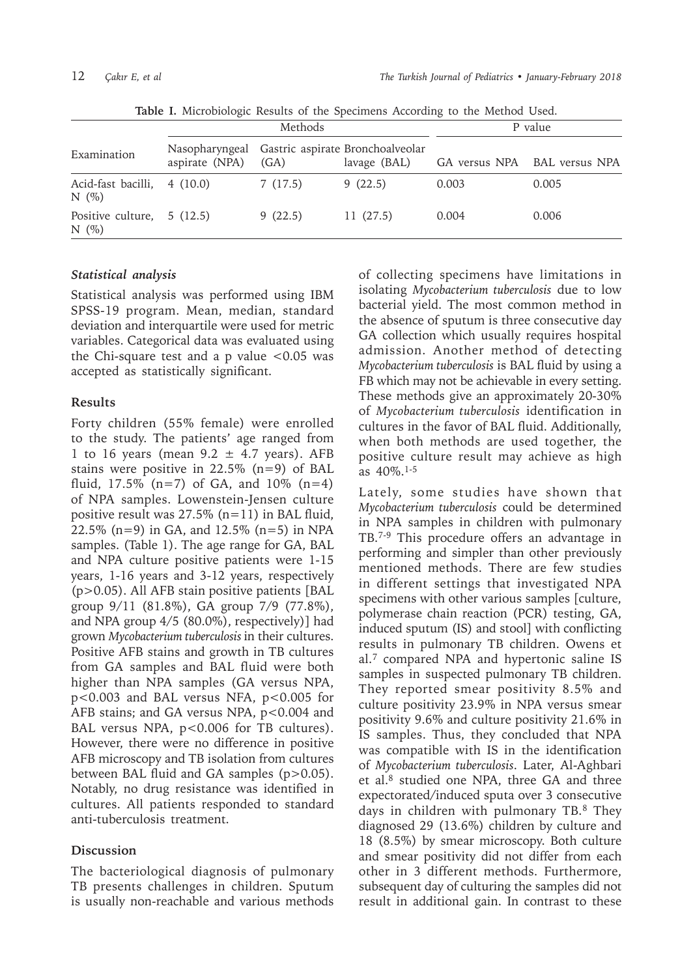|                                         | Methods        |         |                                                                 | P value |                              |
|-----------------------------------------|----------------|---------|-----------------------------------------------------------------|---------|------------------------------|
| Examination                             | aspirate (NPA) | (GA)    | Nasopharyngeal Gastric aspirate Bronchoalveolar<br>lavage (BAL) |         | GA versus NPA BAL versus NPA |
| Acid-fast bacilli, 4 (10.0)<br>N(%)     |                | 7(17.5) | 9(22.5)                                                         | 0.003   | 0.005                        |
| Positive culture, $5(12.5)$<br>N $(\%)$ |                | 9(22.5) | 11(27.5)                                                        | 0.004   | 0.006                        |

**Table I.** Microbiologic Results of the Specimens According to the Method Used.

#### *Statistical analysis*

Statistical analysis was performed using IBM SPSS-19 program. Mean, median, standard deviation and interquartile were used for metric variables. Categorical data was evaluated using the Chi-square test and a p value  $< 0.05$  was accepted as statistically significant.

#### **Results**

Forty children (55% female) were enrolled to the study. The patients' age ranged from 1 to 16 years (mean  $9.2 \pm 4.7$  years). AFB stains were positive in 22.5% (n=9) of BAL fluid,  $17.5\%$  (n=7) of GA, and  $10\%$  (n=4) of NPA samples. Lowenstein-Jensen culture positive result was  $27.5\%$  (n=11) in BAL fluid, 22.5% (n=9) in GA, and 12.5% (n=5) in NPA samples. (Table 1). The age range for GA, BAL and NPA culture positive patients were 1-15 years, 1-16 years and 3-12 years, respectively (p>0.05). All AFB stain positive patients [BAL group 9/11 (81.8%), GA group 7/9 (77.8%), and NPA group 4/5 (80.0%), respectively)] had grown *Mycobacterium tuberculosis* in their cultures. Positive AFB stains and growth in TB cultures from GA samples and BAL fluid were both higher than NPA samples (GA versus NPA, p<0.003 and BAL versus NFA, p<0.005 for AFB stains; and GA versus NPA,  $p<0.004$  and BAL versus NPA, p<0.006 for TB cultures). However, there were no difference in positive AFB microscopy and TB isolation from cultures between BAL fluid and GA samples (p>0.05). Notably, no drug resistance was identified in cultures. All patients responded to standard anti-tuberculosis treatment.

#### **Discussion**

The bacteriological diagnosis of pulmonary TB presents challenges in children. Sputum is usually non-reachable and various methods of collecting specimens have limitations in isolating *Mycobacterium tuberculosis* due to low bacterial yield. The most common method in the absence of sputum is three consecutive day GA collection which usually requires hospital admission. Another method of detecting *Mycobacterium tuberculosis* is BAL fluid by using a FB which may not be achievable in every setting. These methods give an approximately 20-30% of *Mycobacterium tuberculosis* identification in cultures in the favor of BAL fluid. Additionally, when both methods are used together, the positive culture result may achieve as high as 40%.1-5

Lately, some studies have shown that *Mycobacterium tuberculosis* could be determined in NPA samples in children with pulmonary TB.7-9 This procedure offers an advantage in performing and simpler than other previously mentioned methods. There are few studies in different settings that investigated NPA specimens with other various samples [culture, polymerase chain reaction (PCR) testing, GA, induced sputum (IS) and stool] with conflicting results in pulmonary TB children. Owens et al.7 compared NPA and hypertonic saline IS samples in suspected pulmonary TB children. They reported smear positivity 8.5% and culture positivity 23.9% in NPA versus smear positivity 9.6% and culture positivity 21.6% in IS samples. Thus, they concluded that NPA was compatible with IS in the identification of *Mycobacterium tuberculosis*. Later, Al-Aghbari et al.8 studied one NPA, three GA and three expectorated/induced sputa over 3 consecutive days in children with pulmonary TB.8 They diagnosed 29 (13.6%) children by culture and 18 (8.5%) by smear microscopy. Both culture and smear positivity did not differ from each other in 3 different methods. Furthermore, subsequent day of culturing the samples did not result in additional gain. In contrast to these